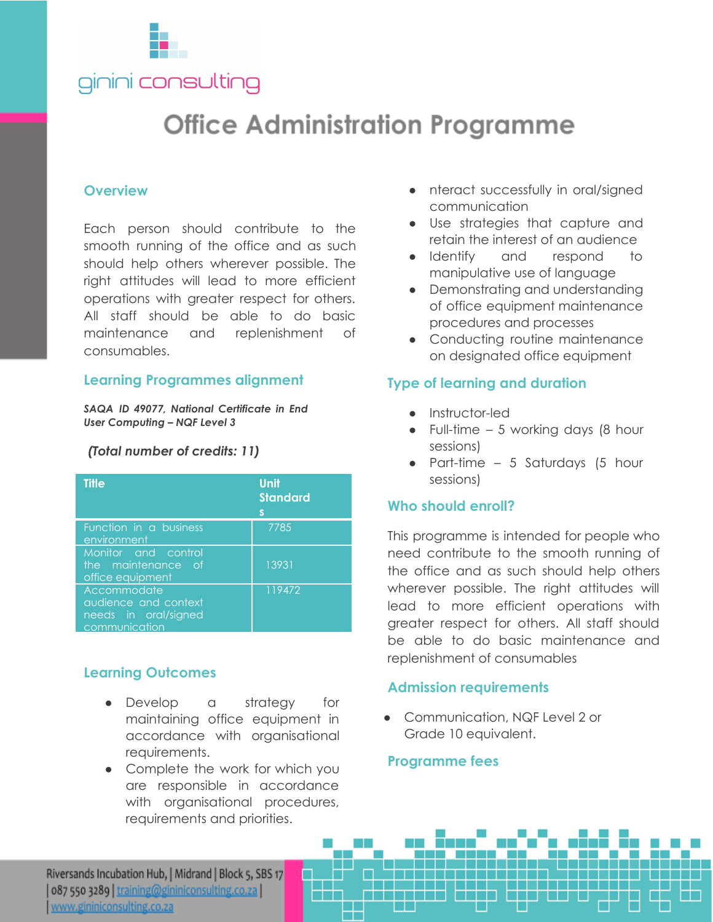

# **Office Administration Programme**

#### **Overview**

Each person should contribute to the smooth running of the office and as such should help others wherever possible. The right attitudes will lead to more efficient operations with greater respect for others. All staff should be able to do basic maintenance and replenishment of consumables.

#### **Learning Programmes alignment**

*SAQA ID 49077, National Certificate in End User Computing – NQF Level 3*

#### *(Total number of credits: 11)*

| <b>Title</b>                                                                 | <b>Unit</b><br><b>Standard</b><br>S |
|------------------------------------------------------------------------------|-------------------------------------|
| Function in a business<br>environment                                        | 7785                                |
| Monitor and control<br>the maintenance of<br>office equipment                | 13931                               |
| Accommodate<br>audience and context<br>needs in oral/signed<br>communication | 119472                              |

## **Learning Outcomes**

- Develop a strategy for maintaining office equipment in accordance with organisational requirements.
- Complete the work for which you are responsible in accordance with organisational procedures, requirements and priorities.
- nteract successfully in oral/signed communication
- Use strategies that capture and retain the interest of an audience
- Identify and respond to manipulative use of language
- Demonstrating and understanding of office equipment maintenance procedures and processes
- Conducting routine maintenance on designated office equipment

#### **Type of learning and duration**

- Instructor-led
- $\bullet$  Full-time 5 working days (8 hour sessions)
- Part-time 5 Saturdays (5 hour sessions)

#### **Who should enroll?**

This programme is intended for people who need contribute to the smooth running of the office and as such should help others wherever possible. The right attitudes will lead to more efficient operations with greater respect for others. All staff should be able to do basic maintenance and replenishment of consumables

#### **Admission requirements**

● Communication, NQF Level 2 or Grade 10 equivalent.

#### **Programme fees**

Riversands Incubation Hub, | Midrand | Block 5, SBS 17 087 550 3289 | training@gininiconsulting.co.za www.gininiconsulting.co.za